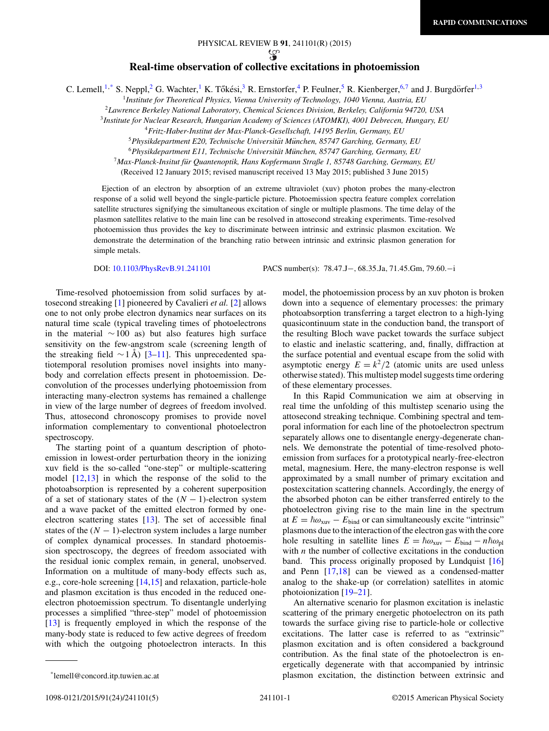## **Real-time observation of collective excitations in photoemission**

C. Lemell,<sup>1,\*</sup> S. Neppl,<sup>2</sup> G. Wachter,<sup>1</sup> K. Tőkési,<sup>3</sup> R. Ernstorfer,<sup>4</sup> P. Feulner,<sup>5</sup> R. Kienberger,<sup>6,7</sup> and J. Burgdörfer<sup>1,3</sup>

<sup>1</sup>*Institute for Theoretical Physics, Vienna University of Technology, 1040 Vienna, Austria, EU*

<sup>2</sup>*Lawrence Berkeley National Laboratory, Chemical Sciences Division, Berkeley, California 94720, USA*

<sup>3</sup>*Institute for Nuclear Research, Hungarian Academy of Sciences (ATOMKI), 4001 Debrecen, Hungary, EU*

<sup>5</sup>*Physikdepartment E20, Technische Universitat M¨ unchen, 85747 Garching, Germany, EU ¨*

<sup>6</sup>*Physikdepartment E11, Technische Universitat M¨ unchen, 85747 Garching, Germany, EU ¨*

<sup>7</sup>*Max-Planck-Insitut fur Quantenoptik, Hans Kopfermann Straße 1, 85748 Garching, Germany, EU ¨*

(Received 12 January 2015; revised manuscript received 13 May 2015; published 3 June 2015)

Ejection of an electron by absorption of an extreme ultraviolet (xuv) photon probes the many-electron response of a solid well beyond the single-particle picture. Photoemission spectra feature complex correlation satellite structures signifying the simultaneous excitation of single or multiple plasmons. The time delay of the plasmon satellites relative to the main line can be resolved in attosecond streaking experiments. Time-resolved photoemission thus provides the key to discriminate between intrinsic and extrinsic plasmon excitation. We demonstrate the determination of the branching ratio between intrinsic and extrinsic plasmon generation for simple metals.

DOI: [10.1103/PhysRevB.91.241101](http://dx.doi.org/10.1103/PhysRevB.91.241101) PACS number(s): 78*.*47*.*J−*,* 68*.*35*.*Ja*,* 71*.*45*.*Gm*,* 79*.*60*.*−i

Time-resolved photoemission from solid surfaces by attosecond streaking [\[1\]](#page-4-0) pioneered by Cavalieri *et al.* [\[2\]](#page-4-0) allows one to not only probe electron dynamics near surfaces on its natural time scale (typical traveling times of photoelectrons in the material  $~\sim 100$  as) but also features high surface sensitivity on the few-angstrom scale (screening length of the streaking field  $\sim$ 1 Å) [[3–11\]](#page-4-0). This unprecedented spatiotemporal resolution promises novel insights into manybody and correlation effects present in photoemission. Deconvolution of the processes underlying photoemission from interacting many-electron systems has remained a challenge in view of the large number of degrees of freedom involved. Thus, attosecond chronoscopy promises to provide novel information complementary to conventional photoelectron spectroscopy.

The starting point of a quantum description of photoemission in lowest-order perturbation theory in the ionizing xuv field is the so-called "one-step" or multiple-scattering model [\[12,13\]](#page-4-0) in which the response of the solid to the photoabsorption is represented by a coherent superposition of a set of stationary states of the  $(N - 1)$ -electron system and a wave packet of the emitted electron formed by oneelectron scattering states [\[13\]](#page-4-0). The set of accessible final states of the  $(N - 1)$ -electron system includes a large number of complex dynamical processes. In standard photoemission spectroscopy, the degrees of freedom associated with the residual ionic complex remain, in general, unobserved. Information on a multitude of many-body effects such as, e.g., core-hole screening [\[14,15\]](#page-4-0) and relaxation, particle-hole and plasmon excitation is thus encoded in the reduced oneelectron photoemission spectrum. To disentangle underlying processes a simplified "three-step" model of photoemission [\[13\]](#page-4-0) is frequently employed in which the response of the many-body state is reduced to few active degrees of freedom with which the outgoing photoelectron interacts. In this

In this Rapid Communication we aim at observing in real time the unfolding of this multistep scenario using the attosecond streaking technique. Combining spectral and temporal information for each line of the photoelectron spectrum separately allows one to disentangle energy-degenerate channels. We demonstrate the potential of time-resolved photoemission from surfaces for a prototypical nearly-free-electron metal, magnesium. Here, the many-electron response is well approximated by a small number of primary excitation and postexcitation scattering channels. Accordingly, the energy of the absorbed photon can be either transferred entirely to the photoelectron giving rise to the main line in the spectrum at  $E = \hbar \omega_{\text{xuv}} - E_{\text{bind}}$  or can simultaneously excite "intrinsic" plasmons due to the interaction of the electron gas with the core hole resulting in satellite lines  $E = \hbar \omega_{\text{xuv}} - E_{\text{bind}} - n \hbar \omega_{\text{pl}}$ with *n* the number of collective excitations in the conduction band. This process originally proposed by Lundquist [\[16\]](#page-4-0) and Penn [\[17,18\]](#page-4-0) can be viewed as a condensed-matter analog to the shake-up (or correlation) satellites in atomic photoionization [\[19–21\]](#page-4-0).

An alternative scenario for plasmon excitation is inelastic scattering of the primary energetic photoelectron on its path towards the surface giving rise to particle-hole or collective excitations. The latter case is referred to as "extrinsic" plasmon excitation and is often considered a background contribution. As the final state of the photoelectron is energetically degenerate with that accompanied by intrinsic plasmon excitation, the distinction between extrinsic and

<sup>4</sup>*Fritz-Haber-Institut der Max-Planck-Gesellschaft, 14195 Berlin, Germany, EU*

model, the photoemission process by an xuv photon is broken down into a sequence of elementary processes: the primary photoabsorption transferring a target electron to a high-lying quasicontinuum state in the conduction band, the transport of the resulting Bloch wave packet towards the surface subject to elastic and inelastic scattering, and, finally, diffraction at the surface potential and eventual escape from the solid with asymptotic energy  $E = k^2/2$  (atomic units are used unless otherwise stated). This multistep model suggests time ordering of these elementary processes.

<sup>\*</sup>lemell@concord.itp.tuwien.ac.at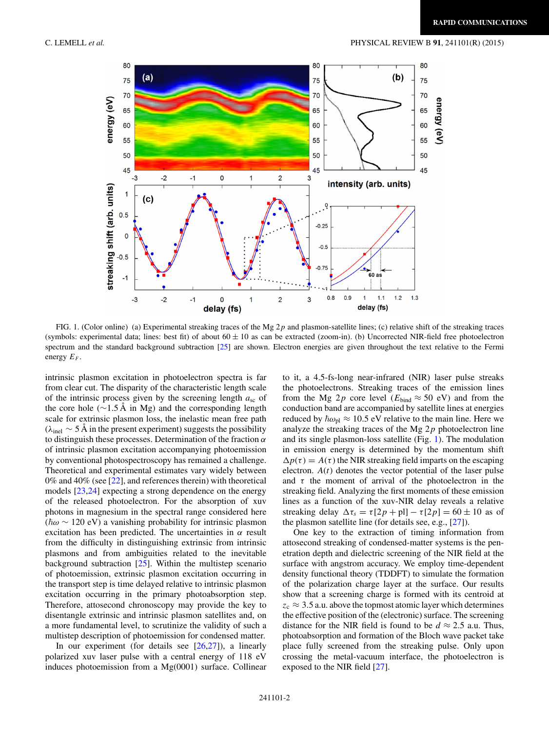

FIG. 1. (Color online) (a) Experimental streaking traces of the Mg 2*p* and plasmon-satellite lines; (c) relative shift of the streaking traces (symbols: experimental data; lines: best fit) of about  $60 \pm 10$  as can be extracted (zoom-in). (b) Uncorrected NIR-field free photoelectron spectrum and the standard background subtraction [\[25\]](#page-4-0) are shown. Electron energies are given throughout the text relative to the Fermi energy  $E_F$ .

intrinsic plasmon excitation in photoelectron spectra is far from clear cut. The disparity of the characteristic length scale of the intrinsic process given by the screening length *a*sc of the core hole ( $\sim$ 1.5 A in Mg) and the corresponding length scale for extrinsic plasmon loss, the inelastic mean free path  $(\lambda_{\text{inel}} \sim 5 \text{ Å}$  in the present experiment) suggests the possibility to distinguish these processes. Determination of the fraction *α* of intrinsic plasmon excitation accompanying photoemission by conventional photospectroscopy has remained a challenge. Theoretical and experimental estimates vary widely between  $0\%$  and  $40\%$  (see [\[22\]](#page-4-0), and references therein) with theoretical models [\[23,24\]](#page-4-0) expecting a strong dependence on the energy of the released photoelectron. For the absorption of xuv photons in magnesium in the spectral range considered here (-*ω* ∼ 120 eV) a vanishing probability for intrinsic plasmon excitation has been predicted. The uncertainties in *α* result from the difficulty in distinguishing extrinsic from intrinsic plasmons and from ambiguities related to the inevitable background subtraction [\[25\]](#page-4-0). Within the multistep scenario of photoemission, extrinsic plasmon excitation occurring in the transport step is time delayed relative to intrinsic plasmon excitation occurring in the primary photoabsorption step. Therefore, attosecond chronoscopy may provide the key to disentangle extrinsic and intrinsic plasmon satellites and, on a more fundamental level, to scrutinize the validity of such a multistep description of photoemission for condensed matter.

In our experiment (for details see  $[26,27]$ ), a linearly polarized xuv laser pulse with a central energy of 118 eV induces photoemission from a Mg(0001) surface. Collinear to it, a 4.5-fs-long near-infrared (NIR) laser pulse streaks the photoelectrons. Streaking traces of the emission lines from the Mg 2*p* core level ( $E_{bind} \approx 50$  eV) and from the conduction band are accompanied by satellite lines at energies reduced by  $\hbar \omega_{\text{pl}} \approx 10.5 \text{ eV}$  relative to the main line. Here we analyze the streaking traces of the Mg 2*p* photoelectron line and its single plasmon-loss satellite (Fig. 1). The modulation in emission energy is determined by the momentum shift  $\Delta p(\tau) = A(\tau)$  the NIR streaking field imparts on the escaping electron.  $A(t)$  denotes the vector potential of the laser pulse and  $\tau$  the moment of arrival of the photoelectron in the streaking field. Analyzing the first moments of these emission lines as a function of the xuv-NIR delay reveals a relative streaking delay  $\Delta \tau_s = \tau[2p + \text{pl}] - \tau[2p] = 60 \pm 10$  as of the plasmon satellite line (for details see, e.g., [\[27\]](#page-4-0)).

One key to the extraction of timing information from attosecond streaking of condensed-matter systems is the penetration depth and dielectric screening of the NIR field at the surface with angstrom accuracy. We employ time-dependent density functional theory (TDDFT) to simulate the formation of the polarization charge layer at the surface. Our results show that a screening charge is formed with its centroid at  $z_c \approx 3.5$  a.u. above the topmost atomic layer which determines the effective position of the (electronic) surface. The screening distance for the NIR field is found to be  $d \approx 2.5$  a.u. Thus, photoabsorption and formation of the Bloch wave packet take place fully screened from the streaking pulse. Only upon crossing the metal-vacuum interface, the photoelectron is exposed to the NIR field [\[27\]](#page-4-0).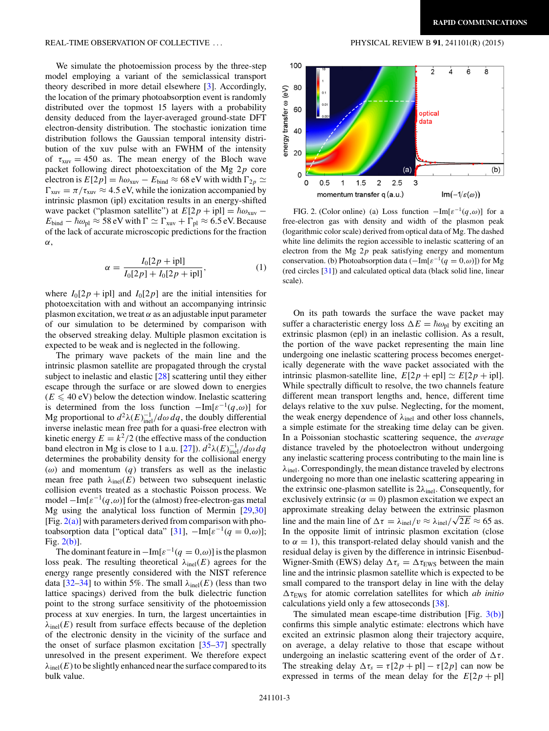## REAL-TIME OBSERVATION OF COLLECTIVE ... PHYSICAL REVIEW B **91**, 241101(R) (2015)

We simulate the photoemission process by the three-step model employing a variant of the semiclassical transport theory described in more detail elsewhere [\[3\]](#page-4-0). Accordingly, the location of the primary photoabsorption event is randomly distributed over the topmost 15 layers with a probability density deduced from the layer-averaged ground-state DFT electron-density distribution. The stochastic ionization time distribution follows the Gaussian temporal intensity distribution of the xuv pulse with an FWHM of the intensity of  $\tau_{xuv} = 450$  as. The mean energy of the Bloch wave packet following direct photoexcitation of the Mg 2*p* core electron is  $E[2p] = \hbar \omega_{\text{xuv}} - E_{\text{bind}} \approx 68 \text{ eV}$  with width  $\Gamma_{2p}$  ≃  $\Gamma_{\text{xuv}} = \pi / \tau_{\text{xuv}} \approx 4.5 \text{ eV}$ , while the ionization accompanied by intrinsic plasmon (ipl) excitation results in an energy-shifted wave packet ("plasmon satellite") at  $E[2p + jpl] = \hbar \omega_{xuv}$  –  $E_{\text{bind}} - \hbar \omega_{\text{pl}} \approx 58 \text{ eV}$  with  $\Gamma \simeq \Gamma_{\text{xuv}} + \Gamma_{\text{pl}} \approx 6.5 \text{ eV}$ . Because of the lack of accurate microscopic predictions for the fraction *α*,

$$
\alpha = \frac{I_0[2p + \text{ipl}]}{I_0[2p] + I_0[2p + \text{ipl}]},\tag{1}
$$

where  $I_0[2p + ipl]$  and  $I_0[2p]$  are the initial intensities for photoexcitation with and without an accompanying intrinsic plasmon excitation, we treat  $\alpha$  as an adjustable input parameter of our simulation to be determined by comparison with the observed streaking delay. Multiple plasmon excitation is expected to be weak and is neglected in the following.

The primary wave packets of the main line and the intrinsic plasmon satellite are propagated through the crystal subject to inelastic and elastic [\[28\]](#page-4-0) scattering until they either escape through the surface or are slowed down to energies  $(E \leq 40 \text{ eV})$  below the detection window. Inelastic scattering is determined from the loss function  $-\text{Im}[\varepsilon^{-1}(q,\omega)]$  for Mg proportional to  $d^2\lambda(E)^{-1}_{\text{inel}}/d\omega dq$ , the doubly differential inverse inelastic mean free path for a quasi-free electron with kinetic energy  $E = k^2/2$  (the effective mass of the conduction band electron in Mg is close to 1 a.u. [\[27\]](#page-4-0)).  $d^2\lambda(E)^{-1}_{\text{inel}}/d\omega dq$ determines the probability density for the collisional energy (*ω*) and momentum (*q*) transfers as well as the inelastic mean free path  $\lambda_{\text{inel}}(E)$  between two subsequent inelastic collision events treated as a stochastic Poisson process. We model <sup>−</sup>Im[*ε*−1(*q,ω*)] for the (almost) free-electron-gas metal Mg using the analytical loss function of Mermin [\[29,30\]](#page-4-0) [Fig.  $2(a)$ ] with parameters derived from comparison with pho-toabsorption data ["optical data" [\[31\]](#page-4-0),  $-\text{Im}[\varepsilon^{-1}(q=0,\omega)]$ ; Fig. 2(b)].

The dominant feature in  $-\text{Im}[\varepsilon^{-1}(q=0,\omega)]$  is the plasmon loss peak. The resulting theoretical  $\lambda_{\text{inel}}(E)$  agrees for the energy range presently considered with the NIST reference data  $[32-34]$  to within 5%. The small  $\lambda_{\text{inel}}(E)$  (less than two lattice spacings) derived from the bulk dielectric function point to the strong surface sensitivity of the photoemission process at xuv energies. In turn, the largest uncertainties in  $\lambda_{\text{inel}}(E)$  result from surface effects because of the depletion of the electronic density in the vicinity of the surface and the onset of surface plasmon excitation  $[35-37]$  spectrally unresolved in the present experiment. We therefore expect  $\lambda_{\text{inel}}(E)$  to be slightly enhanced near the surface compared to its bulk value.



FIG. 2. (Color online) (a) Loss function  $-\text{Im}[\varepsilon^{-1}(q,\omega)]$  for a free-electron gas with density and width of the plasmon peak (logarithmic color scale) derived from optical data of Mg. The dashed white line delimits the region accessible to inelastic scattering of an electron from the Mg 2*p* peak satisfying energy and momentum conservation. (b) Photoabsorption data (−Im[*ε*−1(*q* = 0*,ω*)]) for Mg (red circles [\[31\]](#page-4-0)) and calculated optical data (black solid line, linear scale).

On its path towards the surface the wave packet may suffer a characteristic energy loss  $\Delta E = \hbar \omega_{\text{pl}}$  by exciting an extrinsic plasmon (epl) in an inelastic collision. As a result, the portion of the wave packet representing the main line undergoing one inelastic scattering process becomes energetically degenerate with the wave packet associated with the intrinsic plasmon-satellite line,  $E[2p + \text{epl}] \simeq E[2p + \text{ipl}].$ While spectrally difficult to resolve, the two channels feature different mean transport lengths and, hence, different time delays relative to the xuv pulse. Neglecting, for the moment, the weak energy dependence of  $\lambda_{\text{inel}}$  and other loss channels, a simple estimate for the streaking time delay can be given. In a Poissonian stochastic scattering sequence, the *average* distance traveled by the photoelectron without undergoing any inelastic scattering process contributing to the main line is *λ*inel. Correspondingly, the mean distance traveled by electrons undergoing no more than one inelastic scattering appearing in the extrinsic one-plasmon satellite is  $2\lambda_{\text{inel}}$ . Consequently, for exclusively extrinsic ( $\alpha = 0$ ) plasmon excitation we expect an approximate streaking delay between the extrinsic plasmon line and the main line of  $\Delta \tau = \lambda_{\text{inel}}/v \approx \lambda_{\text{inel}}/\sqrt{2E} \approx 65$  as. In the opposite limit of intrinsic plasmon excitation (close to  $\alpha = 1$ ), this transport-related delay should vanish and the residual delay is given by the difference in intrinsic Eisenbud-Wigner-Smith (EWS) delay  $\Delta \tau_s = \Delta \tau_{\text{EWS}}$  between the main line and the intrinsic plasmon satellite which is expected to be small compared to the transport delay in line with the delay  $\Delta \tau_{\text{FWS}}$  for atomic correlation satellites for which *ab initio* calculations yield only a few attoseconds [\[38\]](#page-4-0).

The simulated mean escape-time distribution [Fig. [3\(b\)\]](#page-3-0) confirms this simple analytic estimate: electrons which have excited an extrinsic plasmon along their trajectory acquire, on average, a delay relative to those that escape without undergoing an inelastic scattering event of the order of  $\Delta \tau$ . The streaking delay  $\Delta \tau_s = \tau [2p + p] - \tau [2p]$  can now be expressed in terms of the mean delay for the  $E[2p + pl]$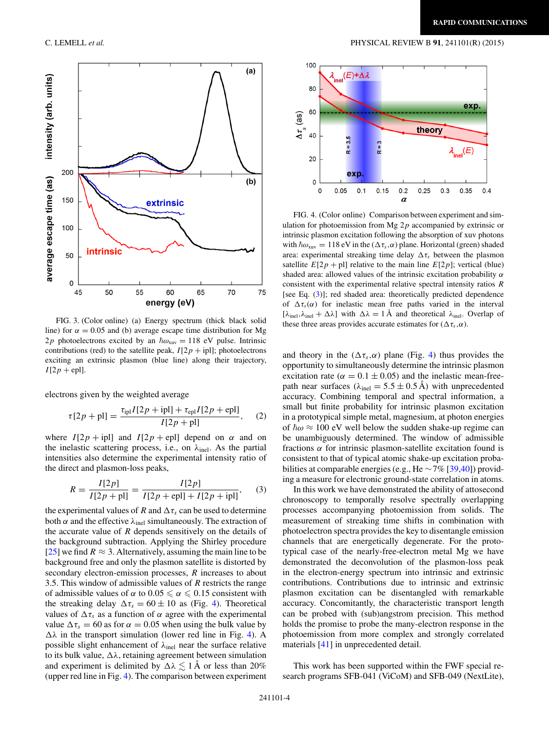

FIG. 3. (Color online) (a) Energy spectrum (thick black solid line) for  $\alpha = 0.05$  and (b) average escape time distribution for Mg  $2p$  photoelectrons excited by an  $\hbar \omega_{xuv} = 118$  eV pulse. Intrinsic contributions (red) to the satellite peak,  $I[2p + ipl]$ ; photoelectrons exciting an extrinsic plasmon (blue line) along their trajectory,  $I[2p + epl]$ .

electrons given by the weighted average

$$
\tau[2p + \text{pl}] = \frac{\tau_{\text{ipl}} I[2p + \text{ipl}] + \tau_{\text{cpl}} I[2p + \text{spl}]}{I[2p + \text{pl}]}, \quad (2)
$$

where  $I[2p + ipl]$  and  $I[2p + epl]$  depend on  $\alpha$  and on the inelastic scattering process, i.e., on  $\lambda_{\text{inel}}$ . As the partial intensities also determine the experimental intensity ratio of the direct and plasmon-loss peaks,

$$
R = \frac{I[2p]}{I[2p + \text{pl}]} = \frac{I[2p]}{I[2p + \text{epl}] + I[2p + \text{ipl}]},\tag{3}
$$

the experimental values of *R* and  $\Delta \tau_s$  can be used to determine both  $\alpha$  and the effective  $\lambda_{\text{inel}}$  simultaneously. The extraction of the accurate value of *R* depends sensitively on the details of the background subtraction. Applying the Shirley procedure [\[25\]](#page-4-0) we find  $R \approx 3$ . Alternatively, assuming the main line to be background free and only the plasmon satellite is distorted by secondary electron-emission processes, *R* increases to about 3.5. This window of admissible values of *R* restricts the range of admissible values of  $\alpha$  to  $0.05 \le \alpha \le 0.15$  consistent with the streaking delay  $\Delta \tau_s = 60 \pm 10$  as (Fig. 4). Theoretical values of  $\Delta \tau_s$  as a function of  $\alpha$  agree with the experimental value  $\Delta \tau_s = 60$  as for  $\alpha = 0.05$  when using the bulk value by  $\Delta\lambda$  in the transport simulation (lower red line in Fig. 4). A possible slight enhancement of  $\lambda_{\text{inel}}$  near the surface relative to its bulk value,  $\Delta\lambda$ , retaining agreement between simulation and experiment is delimited by  $\Delta\lambda \lesssim 1$  Å or less than 20% (upper red line in Fig. 4). The comparison between experiment

<span id="page-3-0"></span>C. LEMELL *et al.* PHYSICAL REVIEW B **91**, 241101(R) (2015)



FIG. 4. (Color online) Comparison between experiment and simulation for photoemission from Mg 2*p* accompanied by extrinsic or intrinsic plasmon excitation following the absorption of xuv photons with  $\hbar \omega_{xuv} = 118 \text{ eV}$  in the ( $\Delta \tau_s$ , $\alpha$ ) plane. Horizontal (green) shaded area: experimental streaking time delay  $\Delta \tau_s$  between the plasmon satellite  $E[2p + pl]$  relative to the main line  $E[2p]$ ; vertical (blue) shaded area: allowed values of the intrinsic excitation probability *α* consistent with the experimental relative spectral intensity ratios *R* [see Eq. (3)]; red shaded area: theoretically predicted dependence of  $\Delta \tau_s(\alpha)$  for inelastic mean free paths varied in the interval  $[\lambda_{\text{inel}}, \lambda_{\text{inel}} + \Delta \lambda]$  with  $\Delta \lambda = 1$  Å and theoretical  $\lambda_{\text{inel}}$ . Overlap of these three areas provides accurate estimates for  $(\Delta \tau_s, \alpha)$ .

and theory in the  $(\Delta \tau_s, \alpha)$  plane (Fig. 4) thus provides the opportunity to simultaneously determine the intrinsic plasmon excitation rate ( $\alpha = 0.1 \pm 0.05$ ) and the inelastic mean-freepath near surfaces ( $\lambda_{\text{inel}} = 5.5 \pm 0.5 \text{ Å}$ ) with unprecedented accuracy. Combining temporal and spectral information, a small but finite probability for intrinsic plasmon excitation in a prototypical simple metal, magnesium, at photon energies of  $\hbar \omega \approx 100$  eV well below the sudden shake-up regime can be unambiguously determined. The window of admissible fractions *α* for intrinsic plasmon-satellite excitation found is consistent to that of typical atomic shake-up excitation probabilities at comparable energies (e.g., He  $\sim$  7% [\[39,40\]](#page-4-0)) providing a measure for electronic ground-state correlation in atoms.

In this work we have demonstrated the ability of attosecond chronoscopy to temporally resolve spectrally overlapping processes accompanying photoemission from solids. The measurement of streaking time shifts in combination with photoelectron spectra provides the key to disentangle emission channels that are energetically degenerate. For the prototypical case of the nearly-free-electron metal Mg we have demonstrated the deconvolution of the plasmon-loss peak in the electron-energy spectrum into intrinsic and extrinsic contributions. Contributions due to intrinsic and extrinsic plasmon excitation can be disentangled with remarkable accuracy. Concomitantly, the characteristic transport length can be probed with (sub)angstrom precision. This method holds the promise to probe the many-electron response in the photoemission from more complex and strongly correlated materials [\[41\]](#page-4-0) in unprecedented detail.

This work has been supported within the FWF special research programs SFB-041 (ViCoM) and SFB-049 (NextLite),